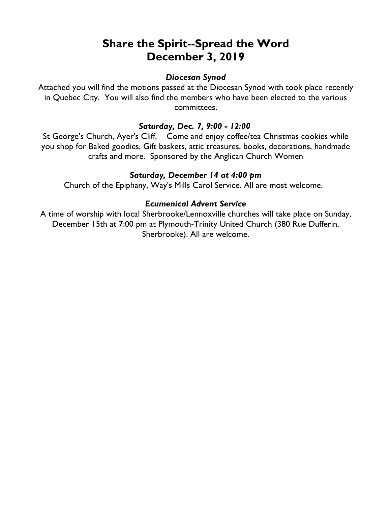# **Share the Spirit--Spread the Word December 3, 2019**

# *Diocesan Synod*

Attached you will find the motions passed at the Diocesan Synod with took place recently in Quebec City. You will also find the members who have been elected to the various committees.

## *Saturday, Dec. 7, 9:00 - 12:00*

St George's Church, Ayer's Cliff. Come and enjoy coffee/tea Christmas cookies while you shop for Baked goodies, Gift baskets, attic treasures, books, decorations, handmade crafts and more. Sponsored by the Anglican Church Women

## *Saturday, December 14 at 4:00 pm*

Church of the Epiphany, Way's Mills Carol Service. All are most welcome.

## *Ecumenical Advent Service*

A time of worship with local Sherbrooke/Lennoxville churches will take place on Sunday, December 15th at 7:00 pm at Plymouth-Trinity United Church (380 Rue Dufferin, Sherbrooke). All are welcome.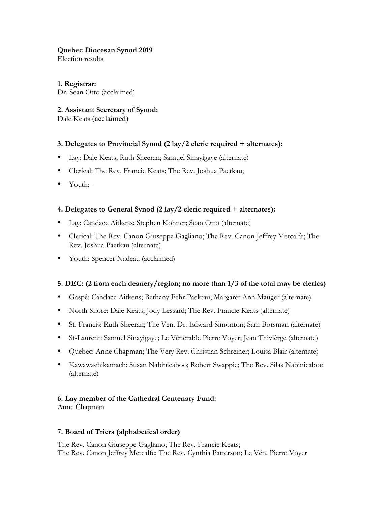#### **Quebec Diocesan Synod 2019**

Election results

**1. Registrar:** Dr. Sean Otto (acclaimed)

## **2. Assistant Secretary of Synod:**

Dale Keats (acclaimed)

## **3. Delegates to Provincial Synod (2 lay/2 cleric required + alternates):**

- Lay: Dale Keats; Ruth Sheeran; Samuel Sinayigaye (alternate)
- Clerical: The Rev. Francie Keats; The Rev. Joshua Paetkau;
- Youth: -

## **4. Delegates to General Synod (2 lay/2 cleric required + alternates):**

- Lay: Candace Aitkens; Stephen Kohner; Sean Otto (alternate)
- Clerical: The Rev. Canon Giuseppe Gagliano; The Rev. Canon Jeffrey Metcalfe; The Rev. Joshua Paetkau (alternate)
- Youth: Spencer Nadeau (acclaimed)

#### **5. DEC: (2 from each deanery/region; no more than 1/3 of the total may be clerics)**

- Gaspé: Candace Aitkens; Bethany Fehr Paektau; Margaret Ann Mauger (alternate)
- North Shore: Dale Keats; Jody Lessard; The Rev. Francie Keats (alternate)
- St. Francis: Ruth Sheeran; The Ven. Dr. Edward Simonton; Sam Borsman (alternate)
- St-Laurent: Samuel Sinayigaye; Le Vénérable Pierre Voyer; Jean Thivièrge (alternate)
- Quebec: Anne Chapman; The Very Rev. Christian Schreiner; Louisa Blair (alternate)
- Kawawachikamach: Susan Nabinicaboo; Robert Swappie; The Rev. Silas Nabinicaboo (alternate)

#### **6. Lay member of the Cathedral Centenary Fund:**

Anne Chapman

#### **7. Board of Triers (alphabetical order)**

The Rev. Canon Giuseppe Gagliano; The Rev. Francie Keats; The Rev. Canon Jeffrey Metcalfe; The Rev. Cynthia Patterson; Le Vén. Pierre Voyer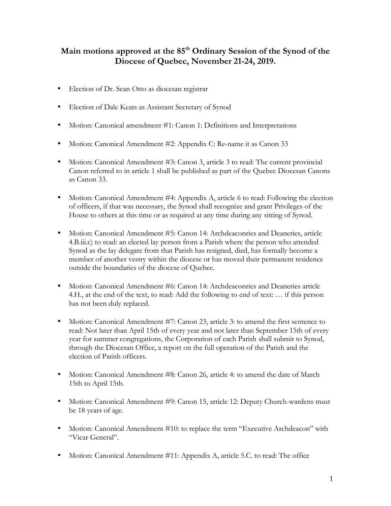# **Main motions approved at the 85th Ordinary Session of the Synod of the Diocese of Quebec, November 21-24, 2019.**

- Election of Dr. Sean Otto as diocesan registrar
- Election of Dale Keats as Assistant Secretary of Synod
- Motion: Canonical amendment #1: Canon 1: Definitions and Interpretations
- Motion: Canonical Amendment #2: Appendix C: Re-name it as Canon 33
- Motion: Canonical Amendment #3: Canon 3, article 3 to read: The current provincial Canon referred to in article 1 shall be published as part of the Quebec Diocesan Canons as Canon 33.
- Motion: Canonical Amendment #4: Appendix A, article 6 to read: Following the election of officers, if that was necessary, the Synod shall recognize and grant Privileges of the House to others at this time or as required at any time during any sitting of Synod.
- Motion: Canonical Amendment #5: Canon 14: Archdeaconries and Deaneries, article 4.B.iii.c) to read: an elected lay person from a Parish where the person who attended Synod as the lay delegate from that Parish has resigned, died, has formally become a member of another vestry within the diocese or has moved their permanent residence outside the boundaries of the diocese of Quebec.
- Motion: Canonical Amendment #6: Canon 14: Archdeaconries and Deaneries article 4.H., at the end of the text, to read: Add the following to end of text: … if this person has not been duly replaced.
- Motion: Canonical Amendment #7: Canon 23, article 3: to amend the first sentence to read: Not later than April 15th of every year and not later than September 15th of every year for summer congregations, the Corporation of each Parish shall submit to Synod, through the Diocesan Office, a report on the full operation of the Parish and the election of Parish officers.
- Motion: Canonical Amendment #8: Canon 26, article 4: to amend the date of March 15th to April 15th.
- Motion: Canonical Amendment #9: Canon 15, article 12: Deputy Church-wardens must be 18 years of age.
- Motion: Canonical Amendment #10: to replace the term "Executive Archdeacon" with "Vicar General".
- Motion: Canonical Amendment #11: Appendix A, article 5.C. to read: The office